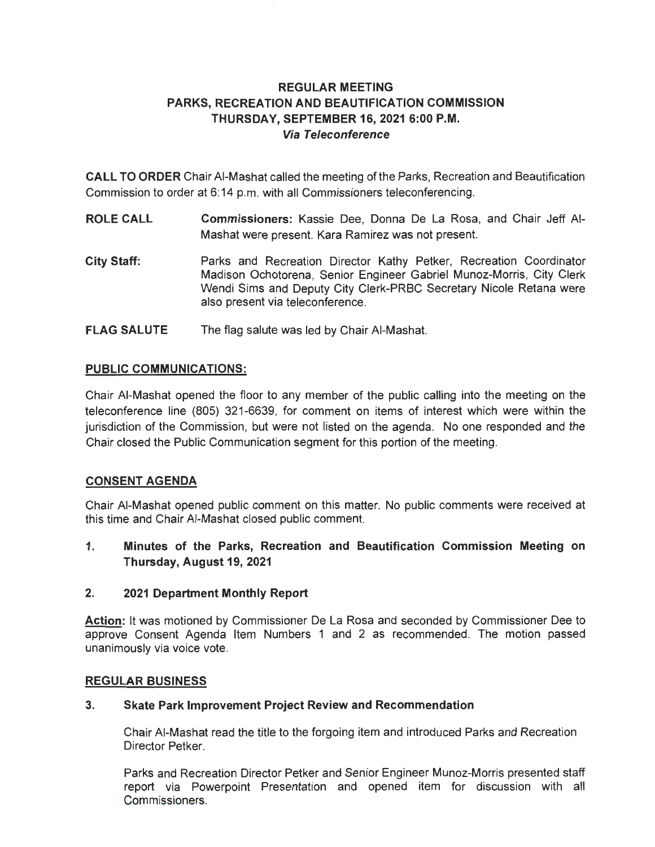# **REGULAR MEETING PARKS, RECREATION AND BEAUTIFICATION COMMISSION THURSDAY, SEPTEMBER 16, 2021 6:00 P.M. Via Teleconference**

**CALL TO ORDER** Chair AI-Mashat called the meeting of the Parks, Recreation and Beautification Commission to order at 6:14 p.m. with all Commissioners teleconferencing.

- **ROLE CALL Commissioners:** Kassie Dee, Donna De La Rosa, and Chair Jeff AI-Mashat were present. Kara Ramirez was not present.
- **City Staff:**  Parks and Recreation Director Kathy Petker, Recreation Coordinator Madison Ochotorena, Senior Engineer Gabriel Munoz-Morris, City Clerk Wendi Sims and Deputy City Clerk-PRBC Secretary Nicole Retana were also present via teleconference.
- **FLAG SALUTE**  The flag salute was led by Chair AI-Mashat.

### **PUBLIC COMMUNICATIONS:**

Chair AI-Mashat opened the floor to any member of the public calling into the meeting on the teleconference line (805) 321-6639, for comment on items of interest which were within the jurisdiction of the Commission, but were not listed on the agenda. No one responded and the Chair closed the Public Communication segment for this portion of the meeting.

## **CONSENT AGENDA**

Chair AI-Mashat opened public comment on this matter. No public comments were received at this time and Chair AI-Mashat closed public comment.

**1. Minutes of the Parks, Recreation and Beautification Commission Meeting on Thursday, August 19, 2021** 

#### **2. 2021 Department Monthly Report**

**Action:** It was motioned by Commissioner De La Rosa and seconded by Commissioner Dee to approve Consent Agenda Item Numbers 1 and 2 as recommended. The motion passed unanimously via voice vote.

#### **REGULAR BUSINESS**

#### **3. Skate Park Improvement Project Review and Recommendation**

Chair AI-Mashat read the title to the forgoing item and introduced Parks and Recreation Director Petker.

Parks and Recreation Director Petker and Senior Engineer Munoz-Morris presented staff report via Powerpoint Presentation and opened item for discussion with all Commissioners.